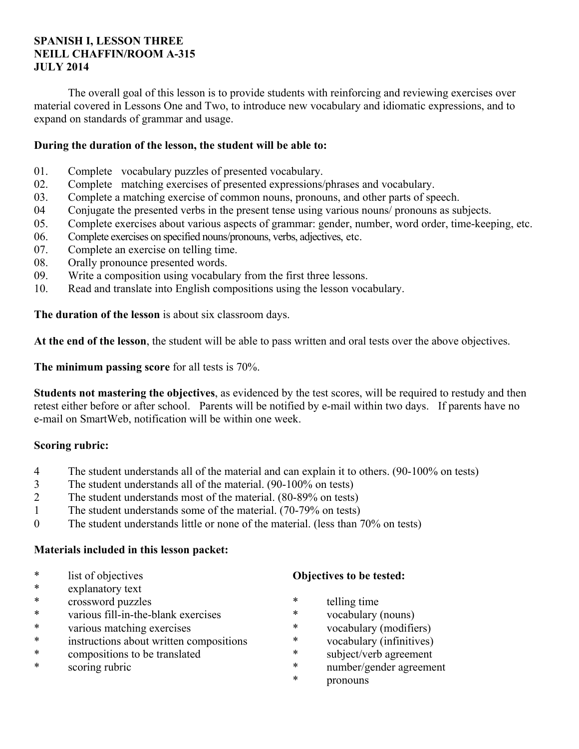## **SPANISH I, LESSON THREE NEILL CHAFFIN/ROOM A-315 JULY 2014**

 The overall goal of this lesson is to provide students with reinforcing and reviewing exercises over material covered in Lessons One and Two, to introduce new vocabulary and idiomatic expressions, and to expand on standards of grammar and usage.

## **During the duration of the lesson, the student will be able to:**

- 01. Complete vocabulary puzzles of presented vocabulary.
- 02. Complete matching exercises of presented expressions/phrases and vocabulary.
- 03. Complete a matching exercise of common nouns, pronouns, and other parts of speech.
- 04 Conjugate the presented verbs in the present tense using various nouns/ pronouns as subjects.
- 05. Complete exercises about various aspects of grammar: gender, number, word order, time-keeping, etc.
- 06. Complete exercises on specified nouns/pronouns, verbs, adjectives, etc.
- 07. Complete an exercise on telling time.
- 08. Orally pronounce presented words.
- 09. Write a composition using vocabulary from the first three lessons.
- 10. Read and translate into English compositions using the lesson vocabulary.

**The duration of the lesson** is about six classroom days.

**At the end of the lesson**, the student will be able to pass written and oral tests over the above objectives.

**The minimum passing score** for all tests is 70%.

**Students not mastering the objectives**, as evidenced by the test scores, will be required to restudy and then retest either before or after school. Parents will be notified by e-mail within two days. If parents have no e-mail on SmartWeb, notification will be within one week.

# **Scoring rubric:**

- 4 The student understands all of the material and can explain it to others. (90-100% on tests)
- 3 The student understands all of the material. (90-100% on tests)
- 2 The student understands most of the material. (80-89% on tests)
- 1 The student understands some of the material. (70-79% on tests)
- 0 The student understands little or none of the material. (less than 70% on tests)

### **Materials included in this lesson packet:**

- \* list of objectives
- explanatory text
- \* crossword puzzles
- \* various fill-in-the-blank exercises
- \* various matching exercises
- \* instructions about written compositions
- \* compositions to be translated
- \* scoring rubric

# **Objectives to be tested:**

- \* telling time
- \* vocabulary (nouns)
- \* vocabulary (modifiers)
- \* vocabulary (infinitives)
- \* subject/verb agreement
- number/gender agreement
- \* pronouns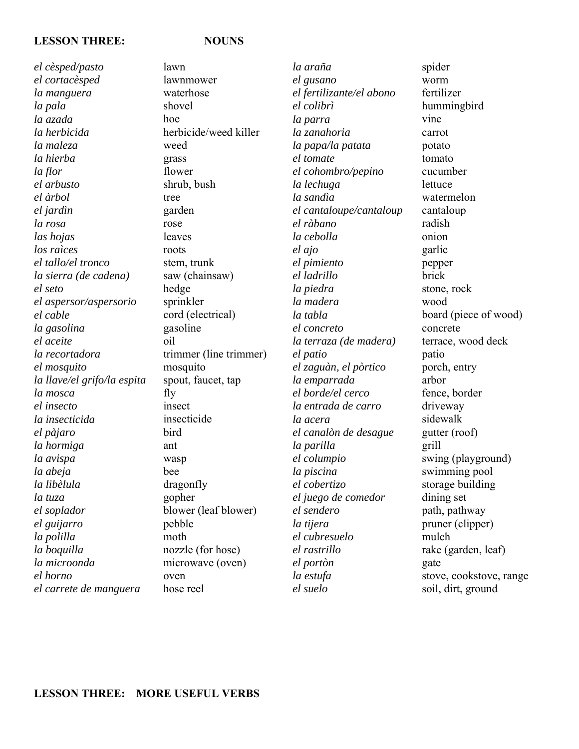### **LESSON THREE: NOUNS**

*el cèsped/pasto el cortacèsped la manguera la pala la azada la herbicida la maleza la hierba la flor el arbusto el àrbol el jardìn la rosa las hojas los raìces el tallo/el tronco la sierra (de cadena) el seto el aspersor/aspersorio el cable la gasolina el aceite la recortadora el mosquito la llave/el grifo/la espita la mosca el insecto la insecticida el pàjaro la hormiga la avispa la abeja la libèlula la tuza el soplador el guijarro la polilla la boquilla la microonda el horno el carrete de manguera* 

lawn lawnmower waterhose shovel hoe herbicide/weed killer weed grass flower shrub, bush tree garden rose leaves roots stem, trunk saw (chainsaw) hedge sprinkler cord (electrical) gasoline oil trimmer (line trimmer) mosquito spout, faucet, tap fly insect insecticide bird ant wasp bee dragonfly gopher blower (leaf blower) pebble moth nozzle (for hose) microwave (oven) oven hose reel

*la araña el gusano el fertilizante/el abono el colibrì la parra la zanahoria la papa/la patata el tomate el cohombro/pepino la lechuga la sandìa el cantaloupe/cantaloup el ràbano la cebolla el ajo el pimiento el ladrillo la piedra la madera la tabla el concreto la terraza (de madera) el patio el zaguàn, el pòrtico la emparrada el borde/el cerco la entrada de carro la acera el canalòn de desague la parilla el columpio la piscina el cobertizo el juego de comedor el sendero la tijera el cubresuelo el rastrillo el portòn la estufa el suelo*

spider worm fertilizer hummingbird vine carrot potato tomato cucumber lettuce watermelon cantaloup radish onion garlic pepper brick stone, rock wood board (piece of wood) concrete terrace, wood deck patio porch, entry arbor fence, border driveway sidewalk gutter (roof) grill swing (playground) swimming pool storage building dining set path, pathway pruner (clipper) mulch rake (garden, leaf) gate stove, cookstove, range soil, dirt, ground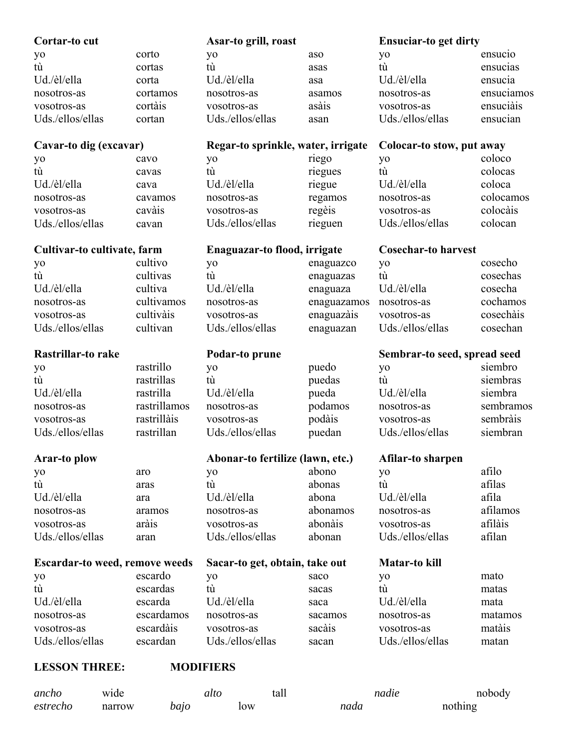| Cortar-to cut                         |              | Asar-to grill, roast               |             | <b>Ensuciar-to get dirty</b> |            |
|---------------------------------------|--------------|------------------------------------|-------------|------------------------------|------------|
| yo                                    | corto        | yo                                 | aso         | yo                           | ensucio    |
| tù                                    | cortas       | tù                                 | asas        | tù                           | ensucias   |
| Ud./èl/ella                           | corta        | Ud./èl/ella                        | asa         | Ud./èl/ella                  | ensucia    |
| nosotros-as                           | cortamos     | nosotros-as                        | asamos      | nosotros-as                  | ensuciamos |
| vosotros-as                           | cortàis      | vosotros-as                        | asàis       | vosotros-as                  | ensuciàis  |
| Uds./ellos/ellas                      | cortan       | Uds./ellos/ellas                   | asan        | Uds./ellos/ellas             | ensucian   |
|                                       |              |                                    |             |                              |            |
| Cavar-to dig (excavar)                |              | Regar-to sprinkle, water, irrigate |             | Colocar-to stow, put away    |            |
| yo                                    | cavo         | yo                                 | riego       | yo                           | coloco     |
| tù                                    | cavas        | tù                                 | riegues     | tù                           | colocas    |
| Ud./èl/ella                           | cava         | Ud./èl/ella                        | riegue      | Ud./èl/ella                  | coloca     |
| nosotros-as                           | cavamos      | nosotros-as                        | regamos     | nosotros-as                  | colocamos  |
| vosotros-as                           | cavàis       | vosotros-as                        | regèis      | vosotros-as                  | colocàis   |
| Uds./ellos/ellas                      | cavan        | Uds./ellos/ellas                   | rieguen     | Uds./ellos/ellas             | colocan    |
| Cultivar-to cultivate, farm           |              | Enaguazar-to flood, irrigate       |             | <b>Cosechar-to harvest</b>   |            |
|                                       | cultivo      |                                    | enaguazco   | yo                           | cosecho    |
| yo<br>tù                              | cultivas     | yo<br>tù                           |             | tù                           | cosechas   |
| Ud./èl/ella                           | cultiva      | Ud./èl/ella                        | enaguazas   | Ud./èl/ella                  | cosecha    |
|                                       | cultivamos   |                                    | enaguaza    |                              | cochamos   |
| nosotros-as                           | cultivàis    | nosotros-as                        | enaguazamos | nosotros-as                  | cosechàis  |
| vosotros-as                           |              | vosotros-as                        | enaguazàis  | vosotros-as                  |            |
| Uds./ellos/ellas                      | cultivan     | Uds./ellos/ellas                   | enaguazan   | Uds./ellos/ellas             | cosechan   |
|                                       |              |                                    |             |                              |            |
| Rastrillar-to rake                    |              | Podar-to prune                     |             | Sembrar-to seed, spread seed |            |
| yo                                    | rastrillo    | yo                                 | puedo       | yo                           | siembro    |
| tù                                    | rastrillas   | tù                                 | puedas      | tù                           | siembras   |
| Ud./èl/ella                           | rastrilla    | Ud./èl/ella                        | pueda       | Ud./èl/ella                  | siembra    |
| nosotros-as                           | rastrillamos | nosotros-as                        | podamos     | nosotros-as                  | sembramos  |
| vosotros-as                           | rastrillàis  | vosotros-as                        | podàis      | vosotros-as                  | sembràis   |
| Uds./ellos/ellas                      | rastrillan   | Uds./ellos/ellas                   | puedan      | Uds./ellos/ellas             | siembran   |
|                                       |              |                                    |             |                              |            |
| <b>Arar-to plow</b>                   |              | Abonar-to fertilize (lawn, etc.)   |             | Afilar-to sharpen            |            |
| yo                                    | aro          | yo                                 | abono       | yo                           | afilo      |
| tù                                    | aras         | tù                                 | abonas      | tù                           | afilas     |
| Ud./èl/ella                           | ara          | Ud./èl/ella                        | abona       | Ud./èl/ella                  | afila      |
| nosotros-as                           | aramos       | nosotros-as                        | abonamos    | nosotros-as                  | afilamos   |
| vosotros-as                           | aràis        | vosotros-as                        | abonàis     | vosotros-as                  | afilàis    |
| Uds./ellos/ellas                      | aran         | Uds./ellos/ellas                   | abonan      | Uds./ellos/ellas             | afilan     |
| <b>Escardar-to weed, remove weeds</b> |              | Sacar-to get, obtain, take out     |             | Matar-to kill                |            |
| yo                                    | escardo      | yo                                 | saco        | yo                           | mato       |
| tù                                    | escardas     | tù                                 | sacas       | tù                           | matas      |
| Ud./èl/ella                           | escarda      | Ud./èl/ella                        | saca        | Ud./èl/ella                  | mata       |
| nosotros-as                           | escardamos   | nosotros-as                        | sacamos     | nosotros-as                  | matamos    |
| vosotros-as                           | escardàis    | vosotros-as                        | sacàis      | vosotros-as                  | matàis     |
| Uds./ellos/ellas                      | escardan     | Uds./ellos/ellas                   | sacan       | Uds./ellos/ellas             | matan      |

# **LESSON THREE: MODIFIERS**

| ancho    | wide   | atto | tall | nadie | nobody  |
|----------|--------|------|------|-------|---------|
| estrecho | narrow | bajo | low  | nada  | nothing |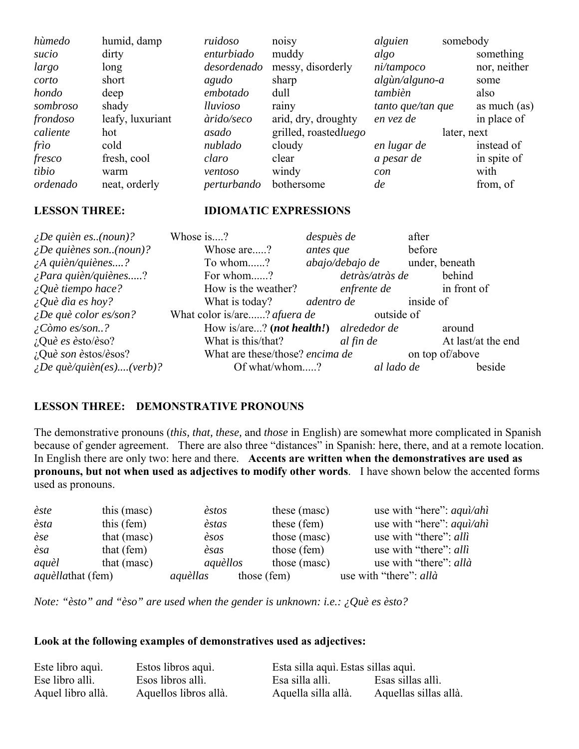| hùmedo   | humid, damp      | ruidoso     | noisy                 | alguien           | somebody       |
|----------|------------------|-------------|-----------------------|-------------------|----------------|
| sucio    | dirty            | enturbiado  | muddy                 | algo              | something      |
| largo    | long             | desordenado | messy, disorderly     | ni/tampoco        | nor, neither   |
| corto    | short            | agudo       | sharp                 | algùn/alguno-a    | some           |
| hondo    | deep             | embotado    | dull                  | tambièn           | also           |
| sombroso | shady            | lluvioso    | rainy                 | tanto que/tan que | as much $(as)$ |
| frondoso | leafy, luxuriant | àrido/seco  | arid, dry, droughty   | en vez de         | in place of    |
| caliente | hot              | asado       | grilled, roastedluego |                   | later, next    |
| frìo     | cold             | nublado     | cloudy                | en lugar de       | instead of     |
| fresco   | fresh, cool      | claro       | clear                 | a pesar de        | in spite of    |
| tibio    | warm             | ventoso     | windy                 | con               | with           |
| ordenado | neat, orderly    | perturbando | bothersome            | de                | from, of       |

### **LESSON THREE: IDIOMATIC EXPRESSIONS**

| $\angle$ <i>De quièn es(noun)?</i>    | Whose is?                              | despuès de      | after              |
|---------------------------------------|----------------------------------------|-----------------|--------------------|
| $\angle$ <i>De quiènes son(noun)?</i> | Whose are?                             | antes que       | before             |
| $\lambda$ quièn/quiènes?              | To whom?                               | abajo/debajo de | under, beneath     |
| $i$ Para quièn/quiènes?               | For whom?                              | detràs/atràs de | behind             |
| $\angle Q$ uè tiempo hace?            | How is the weather?                    | enfrente de     | in front of        |
| $\angle Q$ uè dìa es hoy?             | What is today?                         | adentro de      | inside of          |
| $\angle$ <i>De què color es/son?</i>  | What color is/are? afuera de           | outside of      |                    |
| $\angle$ <i>C</i> òmo es/son?         | How is/are? (not health!) alrededor de |                 | around             |
| ¿Què es èsto/èso?                     | What is this/that?                     | al fin de       | At last/at the end |
| ¿Què son èstos/èsos?                  | What are these/those? encima de        |                 | on top of/above    |
| $\lambda_i$ De què/quièn(es)(verb)?   | Of what/whom?                          | al lado de      | beside             |

# **LESSON THREE: DEMONSTRATIVE PRONOUNS**

The demonstrative pronouns (*this, that, these,* and *those* in English) are somewhat more complicated in Spanish because of gender agreement. There are also three "distances" in Spanish: here, there, and at a remote location. In English there are only two: here and there. **Accents are written when the demonstratives are used as pronouns, but not when used as adjectives to modify other words**. I have shown below the accented forms used as pronouns.

| èste                     | this (mase)   | èstos    |             | these (masc) | use with "here": <i>aqui/ahi</i>        |
|--------------------------|---------------|----------|-------------|--------------|-----------------------------------------|
| èsta                     | this (fem)    | èstas    |             | these (fem)  | use with "here": $aqu\hat{i}/ah\hat{i}$ |
| èse                      | that (masc)   | èsos     |             | those (masc) | use with "there": alli                  |
| èsa                      | that (fem)    | èsas     |             | those (fem)  | use with "there": alli                  |
| aquèl                    | that $(masc)$ | aquèllos |             | those (masc) | use with "there": allà                  |
| <i>aquèllathat</i> (fem) |               | aquèllas | those (fem) |              | use with "there": allà                  |

*Note: "èsto" and "èso" are used when the gender is unknown: i.e.: ¿Què es èsto?*

### **Look at the following examples of demonstratives used as adjectives:**

| Este libro aqui.  | Estos libros aqui.    | Esta silla aquì. Estas sillas aquì. |                       |
|-------------------|-----------------------|-------------------------------------|-----------------------|
| Ese libro allì.   | Esos libros allì.     | Esa silla allì.                     | Esas sillas allì.     |
| Aquel libro allà. | Aquellos libros allà. | Aquella silla allà.                 | Aquellas sillas allà. |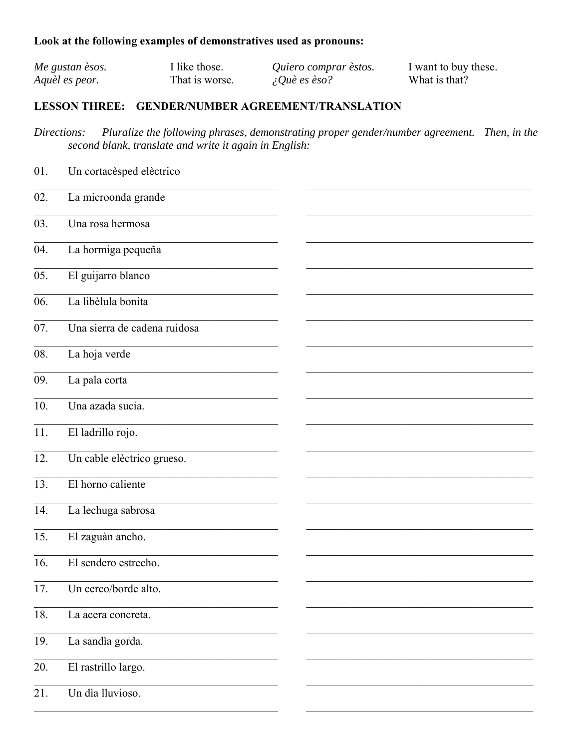# Look at the following examples of demonstratives used as pronouns:

| Me gustan èsos. | I like those.  | Quiero comprar èstos. | I want to buy these. |
|-----------------|----------------|-----------------------|----------------------|
| Aquèl es peor.  | That is worse. | $\angle Q$ uè es èso? | What is that?        |

# LESSON THREE: GENDER/NUMBER AGREEMENT/TRANSLATION

Pluralize the following phrases, demonstrating proper gender/number agreement. Then, in the Directions: second blank, translate and write it again in English:

| 01. | Un cortacèsped elèctrico     |  |
|-----|------------------------------|--|
| 02. | La microonda grande          |  |
| 03. | Una rosa hermosa             |  |
| 04. | La hormiga pequeña           |  |
| 05. | El guijarro blanco           |  |
| 06. | La libèlula bonita           |  |
| 07. | Una sierra de cadena ruidosa |  |
| 08. | La hoja verde                |  |
| 09. | La pala corta                |  |
| 10. | Una azada sucia.             |  |
| 11. | El ladrillo rojo.            |  |
| 12. | Un cable elèctrico grueso.   |  |
| 13. | El horno caliente            |  |
| 14. | La lechuga sabrosa           |  |
| 15. | El zaguàn ancho.             |  |
| 16. | El sendero estrecho.         |  |
| 17. | Un cerco/borde alto.         |  |
| 18. | La acera concreta.           |  |
| 19. | La sandìa gorda.             |  |
| 20. | El rastrillo largo.          |  |
| 21. | Un dìa lluvioso.             |  |
|     |                              |  |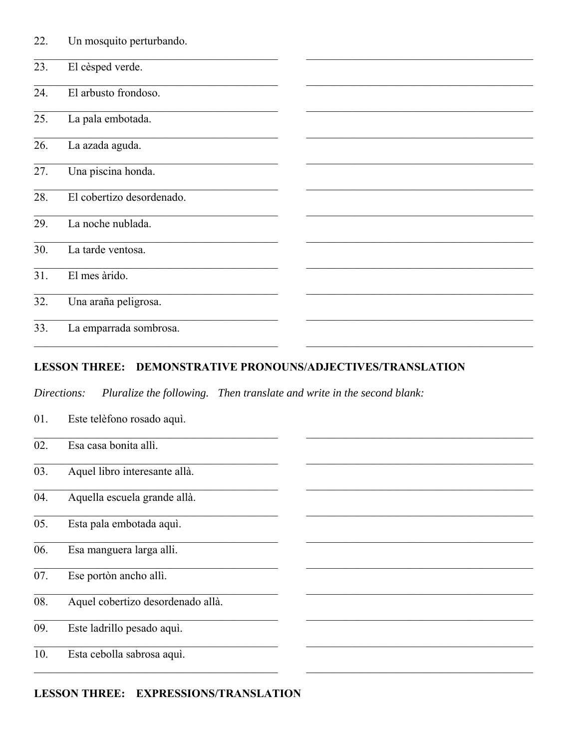| 22. | Un mosquito perturbando.  |  |
|-----|---------------------------|--|
| 23. | El cèsped verde.          |  |
| 24. | El arbusto frondoso.      |  |
| 25. | La pala embotada.         |  |
| 26. | La azada aguda.           |  |
| 27. | Una piscina honda.        |  |
| 28. | El cobertizo desordenado. |  |
| 29. | La noche nublada.         |  |
| 30. | La tarde ventosa.         |  |
| 31. | El mes àrido.             |  |
| 32. | Una araña peligrosa.      |  |
| 33. | La emparrada sombrosa.    |  |

## LESSON THREE: DEMONSTRATIVE PRONOUNS/ADJECTIVES/TRANSLATION

Pluralize the following. Then translate and write in the second blank: Directions:

- Este telèfono rosado aquì. 01.
- $\overline{02}$ . Esa casa bonita allì.
- Aquel libro interesante allà. 03.
- Aquella escuela grande allà. 04.
- $\overline{05}$ . Esta pala embotada aquì.
- Esa manguera larga alli.  $\overline{06}$ .
- Ese portòn ancho allì. 07.
- Aquel cobertizo desordenado allà. 08.
- Este ladrillo pesado aquì. 09.
- $\overline{10}$ . Esta cebolla sabrosa aquì.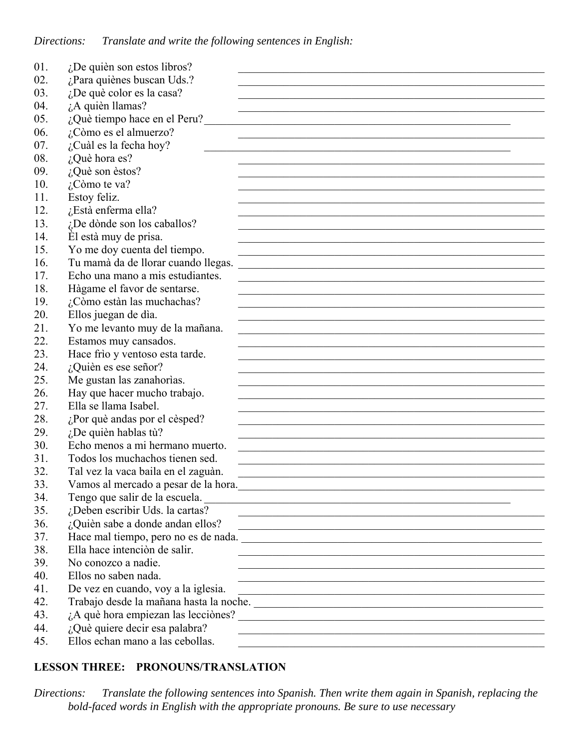| 01. | $i$ De quièn son estos libros?                                                                                                                                                                                                         |
|-----|----------------------------------------------------------------------------------------------------------------------------------------------------------------------------------------------------------------------------------------|
| 02. | ¿Para quiènes buscan Uds.?                                                                                                                                                                                                             |
| 03. | ¿De què color es la casa?                                                                                                                                                                                                              |
| 04. | ¿A quièn llamas?                                                                                                                                                                                                                       |
| 05. | ¿Què tiempo hace en el Peru?                                                                                                                                                                                                           |
| 06. | ¿Còmo es el almuerzo?                                                                                                                                                                                                                  |
| 07. | ¿Cuàl es la fecha hoy?                                                                                                                                                                                                                 |
| 08. | ¿Què hora es?                                                                                                                                                                                                                          |
| 09. | $i$ Què son èstos?                                                                                                                                                                                                                     |
| 10. | ¿Còmo te va?                                                                                                                                                                                                                           |
| 11. | Estoy feliz.                                                                                                                                                                                                                           |
| 12. | ¿Està enferma ella?                                                                                                                                                                                                                    |
| 13. | ¿De dònde son los caballos?                                                                                                                                                                                                            |
| 14. | El està muy de prisa.                                                                                                                                                                                                                  |
| 15. | Yo me doy cuenta del tiempo.                                                                                                                                                                                                           |
| 16. | Tu mamà da de llorar cuando llegas.                                                                                                                                                                                                    |
| 17. | Echo una mano a mis estudiantes.                                                                                                                                                                                                       |
| 18. | Hàgame el favor de sentarse.                                                                                                                                                                                                           |
| 19. | ¿Còmo estàn las muchachas?                                                                                                                                                                                                             |
| 20. | Ellos juegan de dìa.                                                                                                                                                                                                                   |
| 21. | Yo me levanto muy de la mañana.                                                                                                                                                                                                        |
| 22. | Estamos muy cansados.                                                                                                                                                                                                                  |
| 23. | Hace frìo y ventoso esta tarde.                                                                                                                                                                                                        |
| 24. | ¿Quièn es ese señor?                                                                                                                                                                                                                   |
| 25. | Me gustan las zanahorias.                                                                                                                                                                                                              |
| 26. | Hay que hacer mucho trabajo.                                                                                                                                                                                                           |
| 27. | Ella se llama Isabel.                                                                                                                                                                                                                  |
| 28. | ¿Por què andas por el cèsped?                                                                                                                                                                                                          |
| 29. | $i$ ,De quièn hablas tù?                                                                                                                                                                                                               |
| 30. | Echo menos a mi hermano muerto.                                                                                                                                                                                                        |
| 31. | Todos los muchachos tienen sed.                                                                                                                                                                                                        |
| 32. | Tal vez la vaca baila en el zaguàn.                                                                                                                                                                                                    |
| 33. | Vamos al mercado a pesar de la hora.                                                                                                                                                                                                   |
| 34. | Tengo que salir de la escuela.<br><u> a contra de la escuela de la contra de la contra de la contra de la contra de la contra de la contra de la contra de la contra de la contra de la contra de la contra de la contra de la con</u> |
| 35. | ¿Deben escribir Uds. la cartas?                                                                                                                                                                                                        |
| 36. | ¿Quièn sabe a donde andan ellos?                                                                                                                                                                                                       |
| 37. | Hace mal tiempo, pero no es de nada.                                                                                                                                                                                                   |
| 38. | Ella hace intenciòn de salir.<br><u> 1989 - Johann Stoff, amerikansk politiker (d. 1989)</u>                                                                                                                                           |
| 39. | No conozco a nadie.<br><u> 1989 - Johann Stoff, amerikansk politiker (d. 1989)</u>                                                                                                                                                     |
| 40. | Ellos no saben nada.<br><u> 1989 - Johann Stoff, amerikansk politiker (d. 1989)</u>                                                                                                                                                    |
| 41. | De vez en cuando, voy a la iglesia.                                                                                                                                                                                                    |
| 42. |                                                                                                                                                                                                                                        |
| 43. | $i$ A què hora empiezan las lecciònes? $\overline{\phantom{a}}$                                                                                                                                                                        |
| 44. | ¿Què quiere decir esa palabra?<br><u> 1989 - Johann Stoff, amerikansk politiker (d. 1989)</u>                                                                                                                                          |
| 45. | Ellos echan mano a las cebollas.                                                                                                                                                                                                       |

# **LESSON THREE: PRONOUNS/TRANSLATION**

*Directions: Translate the following sentences into Spanish. Then write them again in Spanish, replacing the bold-faced words in English with the appropriate pronouns. Be sure to use necessary*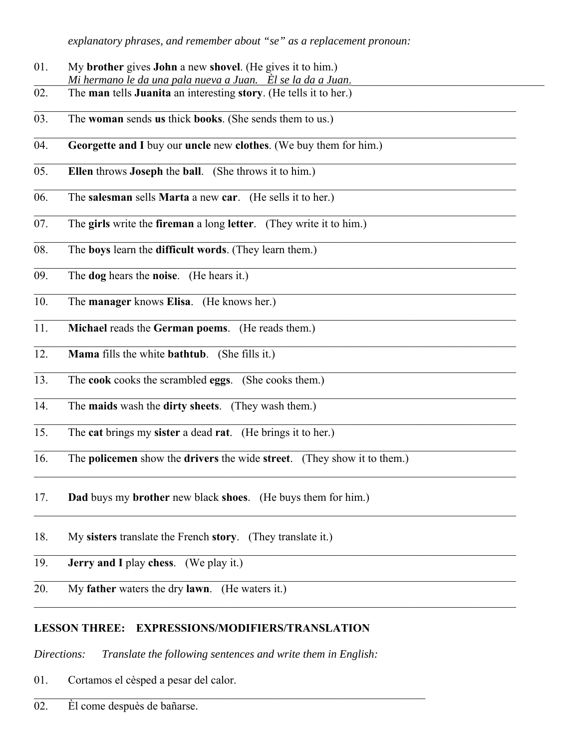*explanatory phrases, and remember about "se" as a replacement pronoun:*

- 01. My **brother** gives **John** a new **shovel**. (He gives it to him.) Mi hermano le <u>da una pala nueva a Juan.</u> Èl se la da a Juan.
- 02. The **man** tells **Juanita** an interesting **story**. (He tells it to her.)
- 03. The **woman** sends **us** thick **books**. (She sends them to us.)
- 04. **Georgette and I** buy our **uncle** new **clothes**. (We buy them for him.)
- 05. **Ellen** throws **Joseph** the **ball**. (She throws it to him.)
- 06. The **salesman** sells **Marta** a new **car**. (He sells it to her.)
- 07. The **girls** write the **fireman** a long **letter**. (They write it to him.)
- 08. The **boys** learn the **difficult words**. (They learn them.)
- 09. The **dog** hears the **noise**. (He hears it.)
- 10. The **manager** knows **Elisa**. (He knows her.)
- 11. **Michael** reads the **German poems**. (He reads them.)
- 12. **Mama** fills the white **bathtub**. (She fills it.)
- 13. The **cook** cooks the scrambled **eggs**. (She cooks them.)
- 14. The **maids** wash the **dirty sheets**. (They wash them.)
- 15. The **cat** brings my **sister** a dead **rat**. (He brings it to her.)
- 16. The **policemen** show the **drivers** the wide **street**. (They show it to them.)

 $\_$  , and the state of the state of the state of the state of the state of the state of the state of the state of the state of the state of the state of the state of the state of the state of the state of the state of the

- 17. **Dad** buys my **brother** new black **shoes**. (He buys them for him.)
- 18. My **sisters** translate the French **story**. (They translate it.)
- 19. **Jerry and I** play **chess**. (We play it.)
- 20. My **father** waters the dry **lawn**. (He waters it.)

# **LESSON THREE: EXPRESSIONS/MODIFIERS/TRANSLATION**

*Directions: Translate the following sentences and write them in English:*

01. Cortamos el cèsped a pesar del calor.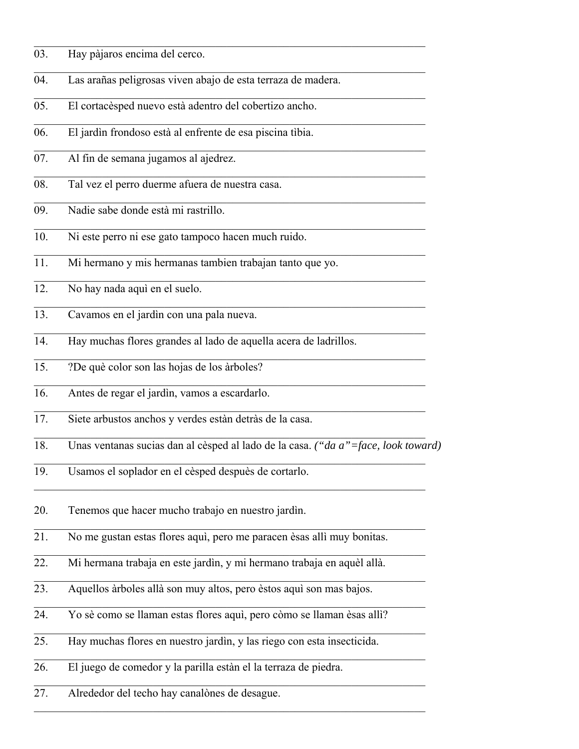- 03. Hay pàjaros encima del cerco.
- 04. Las arañas peligrosas viven abajo de esta terraza de madera.
- 05. El cortacèsped nuevo està adentro del cobertizo ancho.
- 06. El jardìn frondoso està al enfrente de esa piscina tìbia.
- 07. Al fin de semana jugamos al ajedrez.
- 08. Tal vez el perro duerme afuera de nuestra casa.
- 09. Nadie sabe donde està mi rastrillo.
- 10. Ni este perro ni ese gato tampoco hacen much ruido.
- 11. Mi hermano y mis hermanas tambien trabajan tanto que yo.
- 12. No hay nada aquì en el suelo.
- 13. Cavamos en el jardìn con una pala nueva.
- 14. Hay muchas flores grandes al lado de aquella acera de ladrillos.
- 15. ?De què color son las hojas de los àrboles?
- 16. Antes de regar el jardìn, vamos a escardarlo.
- 17. Siete arbustos anchos y verdes estàn detràs de la casa.
- 18. Unas ventanas sucias dan al cèsped al lado de la casa. *("da a"=face, look toward)*

 $\mathcal{L}_\mathcal{L} = \mathcal{L}_\mathcal{L} = \mathcal{L}_\mathcal{L} = \mathcal{L}_\mathcal{L} = \mathcal{L}_\mathcal{L} = \mathcal{L}_\mathcal{L} = \mathcal{L}_\mathcal{L} = \mathcal{L}_\mathcal{L} = \mathcal{L}_\mathcal{L} = \mathcal{L}_\mathcal{L} = \mathcal{L}_\mathcal{L} = \mathcal{L}_\mathcal{L} = \mathcal{L}_\mathcal{L} = \mathcal{L}_\mathcal{L} = \mathcal{L}_\mathcal{L} = \mathcal{L}_\mathcal{L} = \mathcal{L}_\mathcal{L}$ 

 $\mathcal{L}_\mathcal{L} = \mathcal{L}_\mathcal{L} = \mathcal{L}_\mathcal{L} = \mathcal{L}_\mathcal{L} = \mathcal{L}_\mathcal{L} = \mathcal{L}_\mathcal{L} = \mathcal{L}_\mathcal{L} = \mathcal{L}_\mathcal{L} = \mathcal{L}_\mathcal{L} = \mathcal{L}_\mathcal{L} = \mathcal{L}_\mathcal{L} = \mathcal{L}_\mathcal{L} = \mathcal{L}_\mathcal{L} = \mathcal{L}_\mathcal{L} = \mathcal{L}_\mathcal{L} = \mathcal{L}_\mathcal{L} = \mathcal{L}_\mathcal{L}$ 

 $\mathcal{L}_\mathcal{L} = \mathcal{L}_\mathcal{L} = \mathcal{L}_\mathcal{L} = \mathcal{L}_\mathcal{L} = \mathcal{L}_\mathcal{L} = \mathcal{L}_\mathcal{L} = \mathcal{L}_\mathcal{L} = \mathcal{L}_\mathcal{L} = \mathcal{L}_\mathcal{L} = \mathcal{L}_\mathcal{L} = \mathcal{L}_\mathcal{L} = \mathcal{L}_\mathcal{L} = \mathcal{L}_\mathcal{L} = \mathcal{L}_\mathcal{L} = \mathcal{L}_\mathcal{L} = \mathcal{L}_\mathcal{L} = \mathcal{L}_\mathcal{L}$ 

- 19. Usamos el soplador en el cèsped despuès de cortarlo.
- 20. Tenemos que hacer mucho trabajo en nuestro jardìn.
- 21. No me gustan estas flores aquì, pero me paracen èsas allì muy bonitas.
- 22. Mi hermana trabaja en este jardìn, y mi hermano trabaja en aquèl allà.
- 23. Aquellos àrboles allà son muy altos, pero èstos aquì son mas bajos.
- 24. Yo sè como se llaman estas flores aquì, pero còmo se llaman èsas allì?
- 25. Hay muchas flores en nuestro jardìn, y las riego con esta insecticida.
- 26. El juego de comedor y la parilla estàn el la terraza de piedra.
- 27. Alrededor del techo hay canalònes de desague.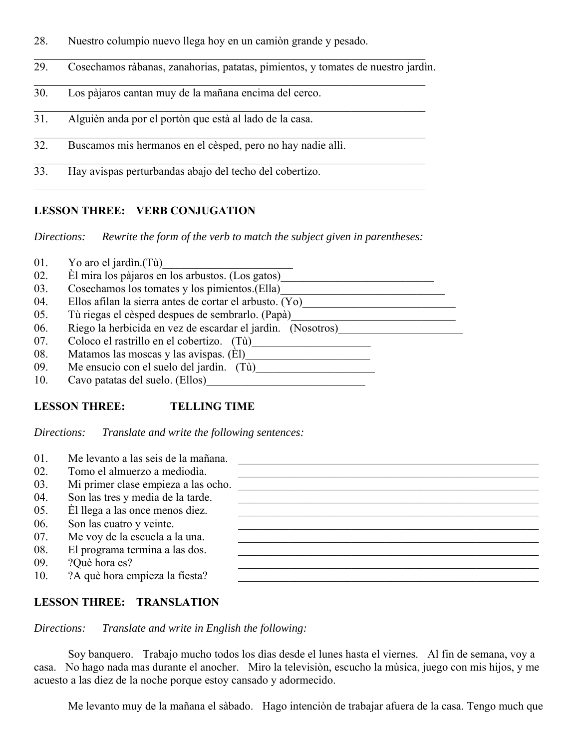28. Nuestro columpio nuevo llega hoy en un camiòn grande y pesado.

| 29. | Cosechamos ràbanas, zanahorias, patatas, pimientos, y tomates de nuestro jardìn. |  |  |  |  |  |
|-----|----------------------------------------------------------------------------------|--|--|--|--|--|
|-----|----------------------------------------------------------------------------------|--|--|--|--|--|

- 30. Los pàjaros cantan muy de la mañana encima del cerco.
- 31. Alguièn anda por el portòn que està al lado de la casa.
- 32. Buscamos mis hermanos en el cèsped, pero no hay nadie allì.
- 33. Hay avispas perturbandas abajo del techo del cobertizo.

### **LESSON THREE: VERB CONJUGATION**

*Directions: Rewrite the form of the verb to match the subject given in parentheses:*

- 01. Yo aro el jardìn. $(T\dot{u})$
- 02. Èl mira los pàjaros en los arbustos. (Los gatos) 03. Cosechamos los tomates y los pimientos.(Ella) 04. Ellos afilan la sierra antes de cortar el arbusto.  $\overline{(Yo)$ 05. Tù riegas el cèsped despues de sembrarlo. (Papà) 06. Riego la herbicida en vez de escardar el jardìn. (Nosotros)\_\_\_\_\_\_\_\_\_\_\_\_\_\_\_\_\_\_\_\_\_\_ 07. Coloco el rastrillo en el cobertizo. (Tù)\_\_\_\_\_\_\_\_\_\_\_\_\_\_\_\_\_\_\_\_\_\_\_\_\_\_\_\_\_\_\_\_\_\_\_ 08. Matamos las moscas y las avispas. (Èl)\_\_\_\_\_\_\_\_\_\_\_\_\_\_\_\_\_\_\_\_\_\_ 09. Me ensucio con el suelo del jardìn. (Tù)\_\_\_\_\_\_\_\_\_\_\_\_\_\_\_\_\_\_\_\_\_ 10. Cavo patatas del suelo. (Ellos)\_\_\_\_\_\_\_\_\_\_\_\_\_\_\_\_\_\_\_\_\_\_\_\_\_\_\_\_

## **LESSON THREE: TELLING TIME**

*Directions: Translate and write the following sentences:*

| 01. | Me levanto a las seis de la mañana. |
|-----|-------------------------------------|
| 02. | Tomo el almuerzo a mediodía.        |
| 03. | Mi primer clase empieza a las ocho. |
| 04. | Son las tres y media de la tarde.   |
| 05. | El llega a las once menos diez.     |
| 06. | Son las cuatro y veinte.            |
| 07. | Me voy de la escuela a la una.      |
| 08. | El programa termina a las dos.      |
| 09. | ?Què hora es?                       |
| 10. | ?A què hora empieza la fiesta?      |

#### **LESSON THREE: TRANSLATION**

*Directions: Translate and write in English the following:*

 Soy banquero. Trabajo mucho todos los dìas desde el lunes hasta el viernes. Al fin de semana, voy a casa. No hago nada mas durante el anocher. Miro la televisiòn, escucho la mùsica, juego con mis hijos, y me acuesto a las diez de la noche porque estoy cansado y adormecido.

Me levanto muy de la mañana el sàbado. Hago intenciòn de trabajar afuera de la casa. Tengo much que